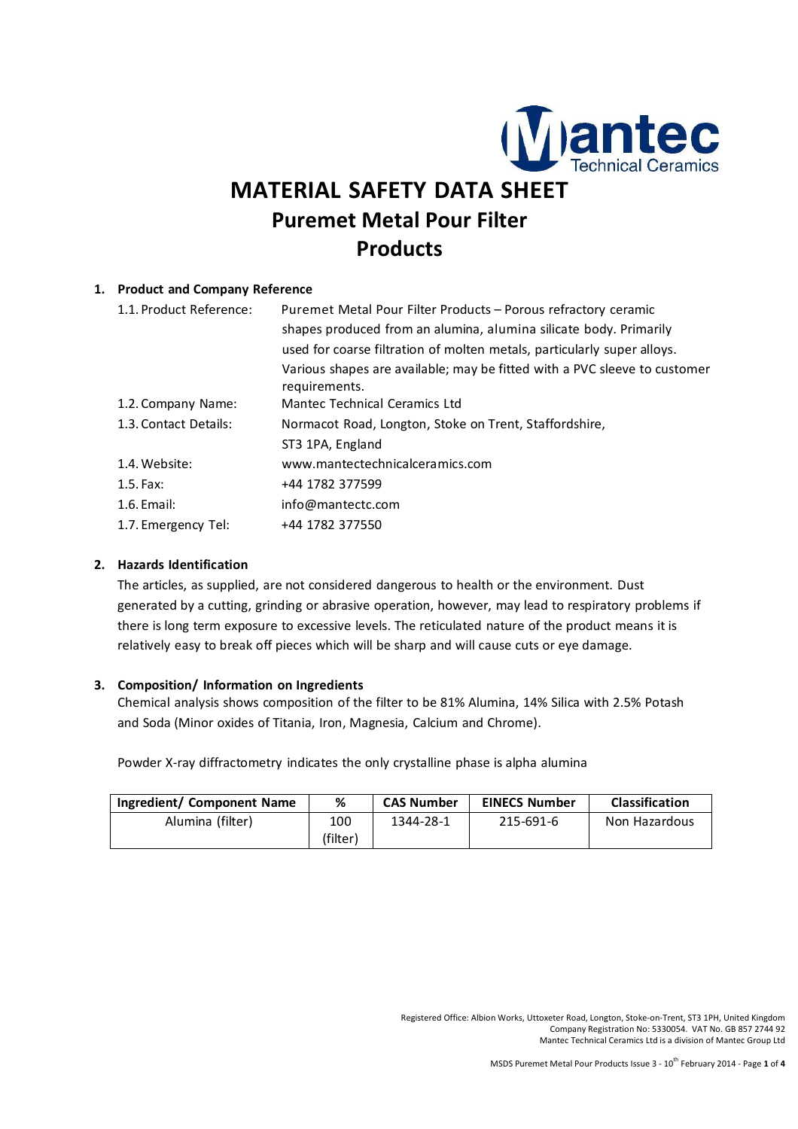

# **MATERIAL SAFETY DATA SHEET Puremet Metal Pour Filter Products**

# **1. Product and Company Reference**

| 1.1. Product Reference: | Puremet Metal Pour Filter Products - Porous refractory ceramic<br>shapes produced from an alumina, alumina silicate body. Primarily |  |  |  |
|-------------------------|-------------------------------------------------------------------------------------------------------------------------------------|--|--|--|
|                         | used for coarse filtration of molten metals, particularly super alloys.                                                             |  |  |  |
|                         | Various shapes are available; may be fitted with a PVC sleeve to customer<br>requirements.                                          |  |  |  |
| 1.2. Company Name:      | Mantec Technical Ceramics Ltd                                                                                                       |  |  |  |
| 1.3. Contact Details:   | Normacot Road, Longton, Stoke on Trent, Staffordshire,                                                                              |  |  |  |
|                         | ST3 1PA, England                                                                                                                    |  |  |  |
| 1.4. Website:           | www.mantectechnicalceramics.com                                                                                                     |  |  |  |
| $1.5.$ Fax:             | +44 1782 377599                                                                                                                     |  |  |  |
| $1.6$ . Email:          | info@mantectc.com                                                                                                                   |  |  |  |
| 1.7. Emergency Tel:     | +44 1782 377550                                                                                                                     |  |  |  |

### **2. Hazards Identification**

The articles, as supplied, are not considered dangerous to health or the environment. Dust generated by a cutting, grinding or abrasive operation, however, may lead to respiratory problems if there is long term exposure to excessive levels. The reticulated nature of the product means it is relatively easy to break off pieces which will be sharp and will cause cuts or eye damage.

#### **3. Composition/ Information on Ingredients**

Chemical analysis shows composition of the filter to be 81% Alumina, 14% Silica with 2.5% Potash and Soda (Minor oxides of Titania, Iron, Magnesia, Calcium and Chrome).

Powder X-ray diffractometry indicates the only crystalline phase is alpha alumina

| Ingredient/ Component Name | %        | CAS Number | <b>EINECS Number</b> | <b>Classification</b> |
|----------------------------|----------|------------|----------------------|-----------------------|
| Alumina (filter)           | 100      | 1344-28-1  | 215-691-6            | Non Hazardous         |
|                            | (filter) |            |                      |                       |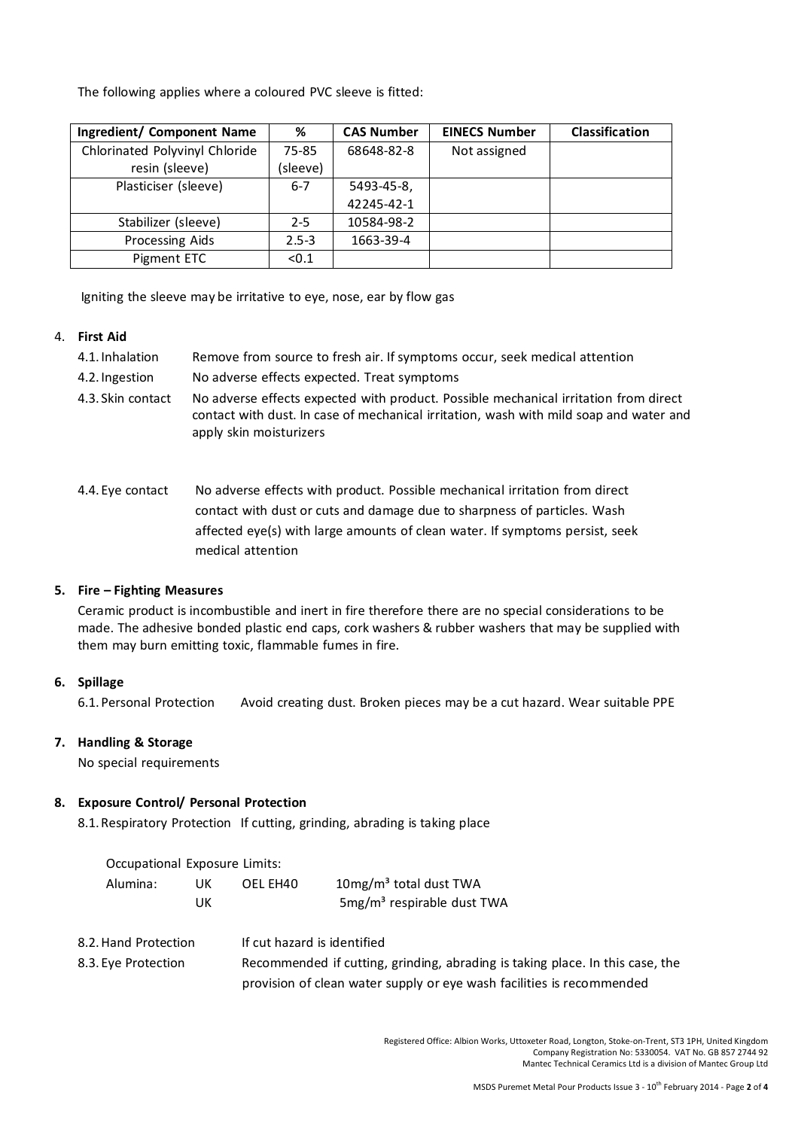The following applies where a coloured PVC sleeve is fitted:

| Ingredient/ Component Name     | %         | <b>CAS Number</b> | <b>EINECS Number</b> | Classification |
|--------------------------------|-----------|-------------------|----------------------|----------------|
| Chlorinated Polyvinyl Chloride | 75-85     | 68648-82-8        | Not assigned         |                |
| resin (sleeve)                 | (sleeve)  |                   |                      |                |
| Plasticiser (sleeve)           | $6 - 7$   | 5493-45-8.        |                      |                |
|                                |           | 42245-42-1        |                      |                |
| Stabilizer (sleeve)            | $2 - 5$   | 10584-98-2        |                      |                |
| Processing Aids                | $2.5 - 3$ | 1663-39-4         |                      |                |
| Pigment ETC                    | < 0.1     |                   |                      |                |

Igniting the sleeve may be irritative to eye, nose, ear by flow gas

#### 4. **First Aid**

| 4.1. Inhalation | Remove from source to fresh air. If symptoms occur, seek medical attention |  |
|-----------------|----------------------------------------------------------------------------|--|
|-----------------|----------------------------------------------------------------------------|--|

- 4.2. Ingestion No adverse effects expected. Treat symptoms
- 4.3. Skin contact No adverse effects expected with product. Possible mechanical irritation from direct contact with dust. In case of mechanical irritation, wash with mild soap and water and apply skin moisturizers
- 4.4. Eye contact No adverse effects with product. Possible mechanical irritation from direct contact with dust or cuts and damage due to sharpness of particles. Wash affected eye(s) with large amounts of clean water. If symptoms persist, seek medical attention

#### **5. Fire – Fighting Measures**

Ceramic product is incombustible and inert in fire therefore there are no special considerations to be made. The adhesive bonded plastic end caps, cork washers & rubber washers that may be supplied with them may burn emitting toxic, flammable fumes in fire.

# **6. Spillage**

6.1. Personal Protection Avoid creating dust. Broken pieces may be a cut hazard. Wear suitable PPE

#### **7. Handling & Storage**

No special requirements

#### **8. Exposure Control/ Personal Protection**

8.1. Respiratory Protection If cutting, grinding, abrading is taking place

| Occupational Exposure Limits: |    |          |                                        |
|-------------------------------|----|----------|----------------------------------------|
| Alumina:                      | UK | OEL EH40 | $10\,\mathrm{mg/m}^3$ total dust TWA   |
|                               | UК |          | 5mg/m <sup>3</sup> respirable dust TWA |

| 8.2. Hand Protection | If cut hazard is identified                                                   |
|----------------------|-------------------------------------------------------------------------------|
| 8.3. Eve Protection  | Recommended if cutting, grinding, abrading is taking place. In this case, the |
|                      | provision of clean water supply or eye wash facilities is recommended         |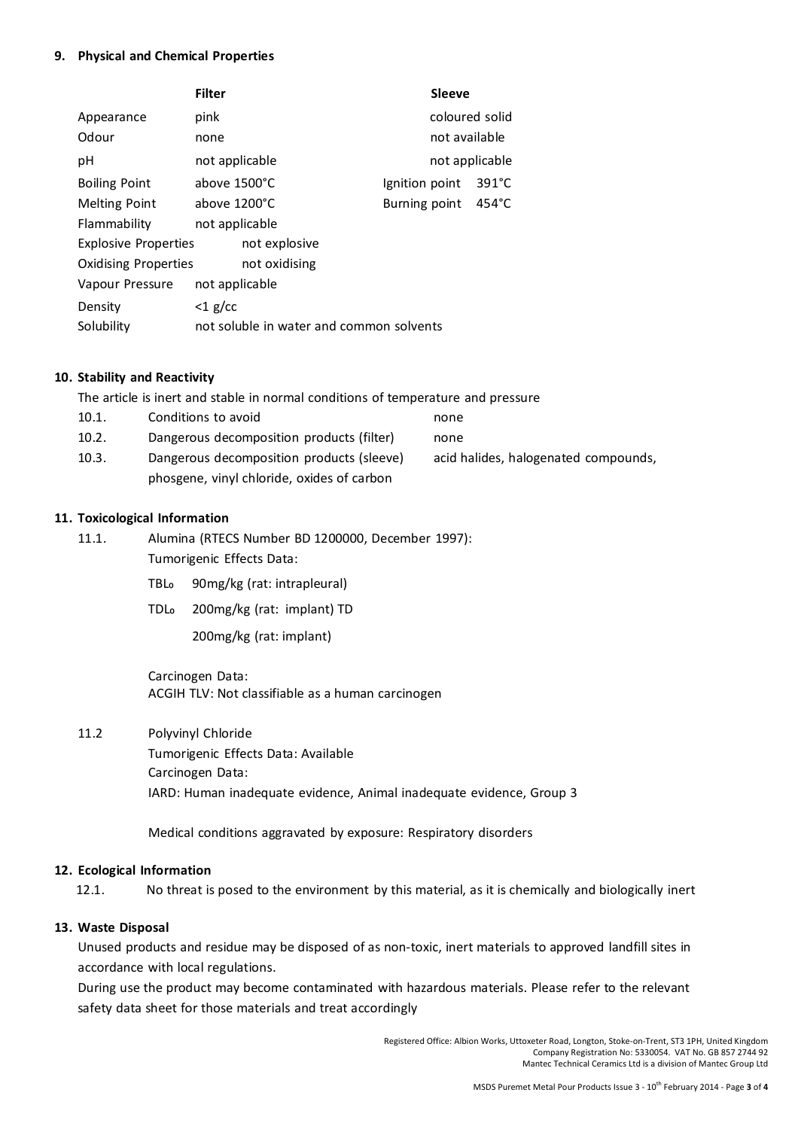#### **9. Physical and Chemical Properties**

|                             | <b>Filter</b>                            |               |  |                | <b>Sleeve</b>  |                 |  |
|-----------------------------|------------------------------------------|---------------|--|----------------|----------------|-----------------|--|
| Appearance                  | pink                                     |               |  |                | coloured solid |                 |  |
| Odour                       | none                                     |               |  |                | not available  |                 |  |
| рH                          | not applicable                           |               |  |                | not applicable |                 |  |
| <b>Boiling Point</b>        | above 1500°C                             |               |  | Ignition point |                | $391^{\circ}$ C |  |
| <b>Melting Point</b>        | above 1200°C                             |               |  | Burning point  |                | $454^{\circ}$ C |  |
| Flammability                | not applicable                           |               |  |                |                |                 |  |
| <b>Explosive Properties</b> |                                          | not explosive |  |                |                |                 |  |
| <b>Oxidising Properties</b> |                                          | not oxidising |  |                |                |                 |  |
| Vapour Pressure             | not applicable                           |               |  |                |                |                 |  |
| Density                     | $<$ 1 g/cc                               |               |  |                |                |                 |  |
| Solubility                  | not soluble in water and common solvents |               |  |                |                |                 |  |

#### **10. Stability and Reactivity**

The article is inert and stable in normal conditions of temperature and pressure

- 10.1. Conditions to avoid contact the mone 10.2. Dangerous decomposition products (filter) none
- 10.3. Dangerous decomposition products (sleeve) acid halides, halogenated compounds, phosgene, vinyl chloride, oxides of carbon

#### **11. Toxicological Information**

11.1. Alumina (RTECS Number BD 1200000, December 1997):

- Tumorigenic Effects Data:
	- TBL<sub>o</sub> 90mg/kg (rat: intrapleural)
	- TDL₀ 200mg/kg (rat: implant) TD

200mg/kg (rat: implant)

Carcinogen Data: ACGIH TLV: Not classifiable as a human carcinogen

11.2 Polyvinyl Chloride

Tumorigenic Effects Data: Available Carcinogen Data: IARD: Human inadequate evidence, Animal inadequate evidence, Group 3

Medical conditions aggravated by exposure: Respiratory disorders

#### **12. Ecological Information**

12.1. No threat is posed to the environment by this material, as it is chemically and biologically inert

# **13. Waste Disposal**

Unused products and residue may be disposed of as non-toxic, inert materials to approved landfill sites in accordance with local regulations.

During use the product may become contaminated with hazardous materials. Please refer to the relevant safety data sheet for those materials and treat accordingly